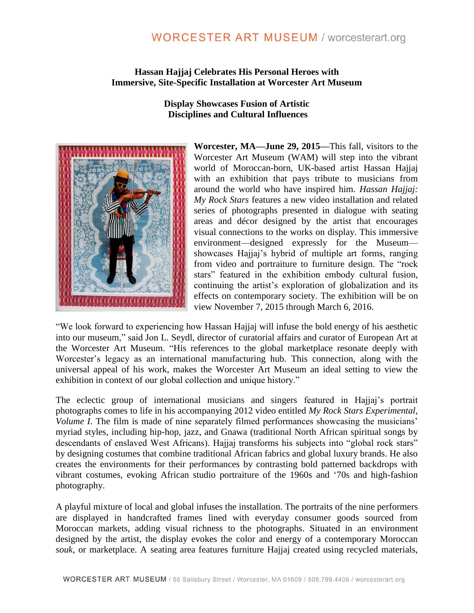# **WORCESTER ART MUSEUM / worcesterart.org**

## **Hassan Hajjaj Celebrates His Personal Heroes with Immersive, Site-Specific Installation at Worcester Art Museum**

**Display Showcases Fusion of Artistic Disciplines and Cultural Influences**



**Worcester, MA—June 29, 2015—**This fall, visitors to the Worcester Art Museum (WAM) will step into the vibrant world of Moroccan-born, UK-based artist Hassan Hajjaj with an exhibition that pays tribute to musicians from around the world who have inspired him. *Hassan Hajjaj: My Rock Stars* features a new video installation and related series of photographs presented in dialogue with seating areas and décor designed by the artist that encourages visual connections to the works on display. This immersive environment—designed expressly for the Museum showcases Hajjaj's hybrid of multiple art forms, ranging from video and portraiture to furniture design. The "rock stars" featured in the exhibition embody cultural fusion, continuing the artist's exploration of globalization and its effects on contemporary society. The exhibition will be on view November 7, 2015 through March 6, 2016.

"We look forward to experiencing how Hassan Hajjaj will infuse the bold energy of his aesthetic into our museum," said Jon L. Seydl, director of curatorial affairs and curator of European Art at the Worcester Art Museum. "His references to the global marketplace resonate deeply with Worcester's legacy as an international manufacturing hub. This connection, along with the universal appeal of his work, makes the Worcester Art Museum an ideal setting to view the exhibition in context of our global collection and unique history."

The eclectic group of international musicians and singers featured in Hajjaj's portrait photographs comes to life in his accompanying 2012 video entitled *My Rock Stars Experimental, Volume I*. The film is made of nine separately filmed performances showcasing the musicians' myriad styles, including hip-hop, jazz, and Gnawa (traditional North African spiritual songs by descendants of enslaved West Africans). Hajjaj transforms his subjects into "global rock stars" by designing costumes that combine traditional African fabrics and global luxury brands. He also creates the environments for their performances by contrasting bold patterned backdrops with vibrant costumes, evoking African studio portraiture of the 1960s and '70s and high-fashion photography.

A playful mixture of local and global infuses the installation. The portraits of the nine performers are displayed in handcrafted frames lined with everyday consumer goods sourced from Moroccan markets, adding visual richness to the photographs. Situated in an environment designed by the artist, the display evokes the color and energy of a contemporary Moroccan *souk*, or marketplace. A seating area features furniture Hajjaj created using recycled materials,